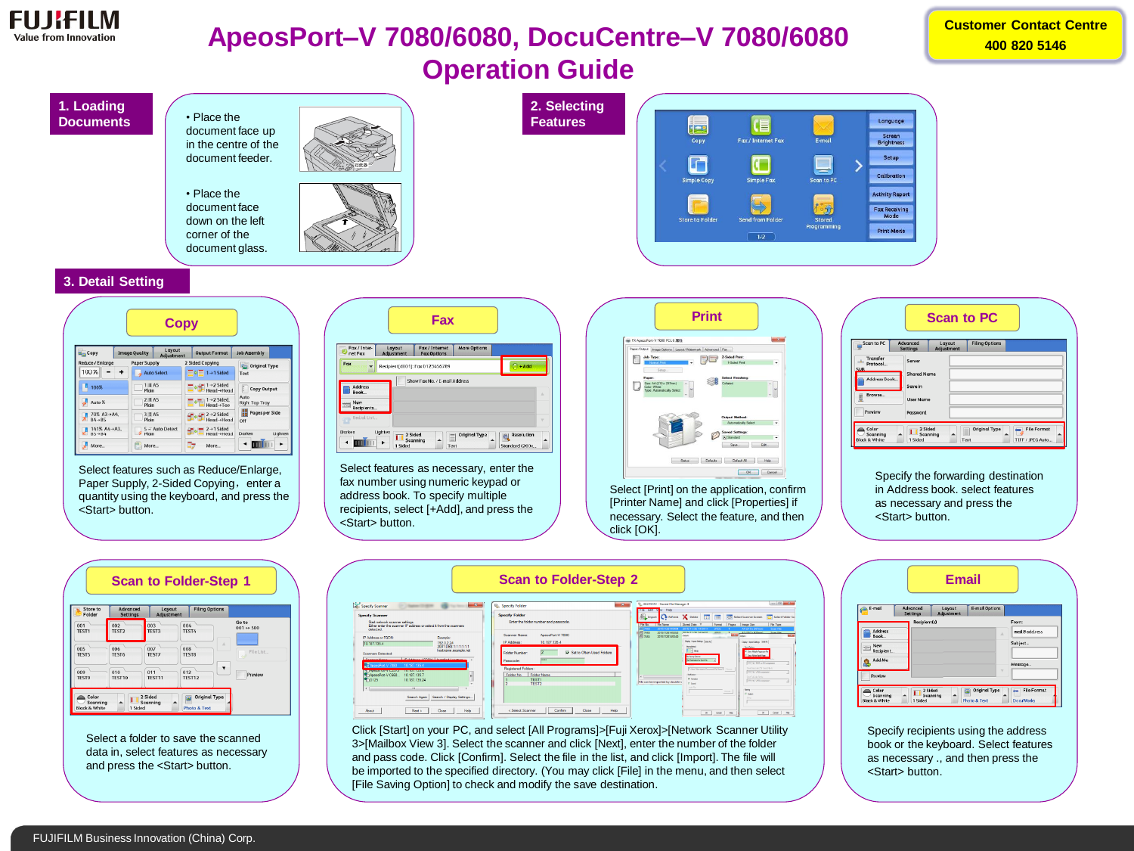

## **ApeosPort–V 7080/6080, DocuCentre–V 7080/6080 Operation Guide**

**Customer Contact Centre 400 820 5146**

## **1. Loading 2. Selecting**  • Place the **Documents Features** Language (旨 **ERS** document face up Screen<br>Brightness Fax / Internet Fax Copy E-mail in the centre of the document feeder.  $\blacksquare$ Setup  $\Box$ Calibration Simple Fax Simple Copy can to Pi • Place the **Activity Report**  $\overline{\mathbb{P}}$ document face Fax Receiving<br>Mode **Store to Folde** down on the left **Print Mode** corner of the  $\boxed{1/2}$ document glass. **3. Detail Setting**

| <b>Copy</b>                                                                      |                      |                                         |                                                                              |                                                   |
|----------------------------------------------------------------------------------|----------------------|-----------------------------------------|------------------------------------------------------------------------------|---------------------------------------------------|
| E <sub>ra</sub> Copy                                                             | <b>Image Quality</b> | Layout<br>Adjustment                    | <b>Output Format</b>                                                         | <b>Job Assembly</b>                               |
| Reduce / Enlarge<br>100%                                                         | <b>Paper Supply</b>  | <b>Auto Select</b>                      | 2 Sided Copying<br>$\equiv$ 1 → 1 Sided                                      | <b>Ca</b> Original Type<br>Text                   |
| 100%<br>Auto %                                                                   | Plain<br>Plain       | $1 \equiv A5$<br>$2$ $\blacksquare$ A5  | $1 \rightarrow 2$ Sided<br>Head→Head<br>$1 \rightarrow 2$ Sided.<br>Head→Toe | E<br>Copy Output<br>Auto<br><b>Right Top Tray</b> |
| 70% A3→A4.<br>$\pi$<br>$B4 \rightarrow B5$<br>141% A4→A3.<br>$B5 \rightarrow B4$ | Plain<br>Plain       | $3 \equiv A5$<br>$5 \equiv$ Auto Detect | $2 \rightarrow 2$ Sided<br>Head→Head<br>$2 \rightarrow 1$ Sided<br>Head→Head | 噐<br>Pages per Side<br>Off<br>Lighten<br>Darken   |
| More                                                                             | æ                    | More                                    | More                                                                         | ٠                                                 |

Select features such as Reduce/Enlarge, Paper Supply, 2-Sided Copying, enter a quantity using the keyboard, and press the <Start> button.

| Fax / Inter-<br>net Fax | Layout<br>Adjustment | Fax / Internet<br><b>Fax Options</b> | <b>More Options</b> |                     |
|-------------------------|----------------------|--------------------------------------|---------------------|---------------------|
| Fax                     |                      | Recipient[d001]: Fax 0123456789      |                     | $\frac{1}{2}$ + Add |
| <b>Address</b>          |                      | Show Fax No. / E-mail Address        |                     |                     |
| Book<br>New             |                      |                                      |                     |                     |

Select features as necessary, enter the fax number using numeric keypad or address book. To specify multiple recipients, select [+Add], and press the <Start> button.



Select [Print] on the application, confirm [Printer Name] and click [Properties] if necessary. Select the feature, and then click [OK].

| <b>Scan to PC</b>                             |  |                                    |                      |                              |                                        |  |
|-----------------------------------------------|--|------------------------------------|----------------------|------------------------------|----------------------------------------|--|
| Scan to PC                                    |  | <b>Advanced</b><br><b>Settings</b> | Layout<br>Adjustment | <b>Filing Options</b>        |                                        |  |
| Transfer<br>ᅩ<br>Protocol                     |  | Server                             |                      |                              |                                        |  |
| <b>SMB</b><br>Address Book                    |  | <b>Shared Name</b>                 |                      |                              |                                        |  |
|                                               |  | Save in                            |                      |                              |                                        |  |
| Browse<br>貝                                   |  | <b>User Name</b>                   |                      |                              |                                        |  |
| Preview                                       |  | Password                           |                      |                              |                                        |  |
| Color<br>Scanning<br><b>Black &amp; White</b> |  | 2 Sided<br>1 Sided                 | Scanning             | <b>Original Type</b><br>Text | <b>File Format</b><br>TIFF / JPEG Auto |  |

Specify the forwarding destination in Address book. select features as necessary and press the <Start> button.

| Store to<br>Folder  | Advanced<br><b>Settings</b> | Layout<br>Adjustment | <b>Filing Options</b> |                                    |
|---------------------|-----------------------------|----------------------|-----------------------|------------------------------------|
| 001<br>TEST1        | 002<br>TEST <sub>2</sub>    | 003<br>004<br>TEST3  | TEST4                 | Go to<br>001 $\Leftrightarrow$ 500 |
| 005<br>TEST5        | 006<br>TFST6                | 007<br>008<br>TFST7  | Δ<br><b>TFST8</b>     | File List                          |
| 009<br><b>TFST9</b> | 010<br>TFST10               | 012<br>011<br>TFST11 | TEST12                | Preview                            |

Select a folder to save the scanned data in, select features as necessary and press the <Start> button.

|                                                                                                                                                                                                                                                                                                                              | <b>Scan to Folder-Step 2</b>                                                                                               |                                                                                                                                                                                                                         |                                                                                                                                                                                                                        |
|------------------------------------------------------------------------------------------------------------------------------------------------------------------------------------------------------------------------------------------------------------------------------------------------------------------------------|----------------------------------------------------------------------------------------------------------------------------|-------------------------------------------------------------------------------------------------------------------------------------------------------------------------------------------------------------------------|------------------------------------------------------------------------------------------------------------------------------------------------------------------------------------------------------------------------|
| $- x$<br>Specify Scanner                                                                                                                                                                                                                                                                                                     | $\mathbf{x}$<br>Specify Folder                                                                                             | Q. 002:TEST2 - Stored File Manager 3                                                                                                                                                                                    | $\circ$ $\circ$ $\circ$                                                                                                                                                                                                |
| <b>Specify Scanner</b><br>Start network scanner settings.<br>Ether enter the scanner IP address or select it from the scanners                                                                                                                                                                                               | <b>Specify Folder</b><br>Enter the folder number and passcode.                                                             | Fire Los Yow Help<br>Import<br>Stored Date W<br>File No.   File Name<br>Format<br>2015/11/26 14:54:11<br>2015112614504<br><b>JPFG</b>                                                                                   | Image Size<br>File Type<br>Рария<br>A4 (210 x 297mm)<br>Scan File                                                                                                                                                      |
| detected<br><b>IP Address or FODN:</b><br>Example:<br>1920224<br>10.187.135.4<br>2001:DB8:1:1:1:1:1:1<br>hostname.example.net<br><b>Scanners Detected</b>                                                                                                                                                                    | ApeasPort-V 7080<br>Scanner Name:<br>IP Address:<br>10.187.135.4<br><b>I</b> W Set to Often-Used Folders<br>Folder Number: | Gil 7465<br>20151126145352<br>2015/11/26 14:54:01<br><b>JPEG</b><br>6 7464<br><b>Details</b><br>20151126145340<br>Digity / Inpot Settings   Spys As  <br>International<br><b>Time</b>                                   | A3 (297 x 420mm)<br>Sean File<br><b>Little</b><br><b>Data</b><br>Digity / Input Settings Street &<br>Saw Ostone<br>F Seve Multiple Pages per File                                                                      |
| THE ASSAULT CHAINS   STATISTICS CONTI<br>Concerted March<br>ApecsPort-V 7080<br>10.187.135.4<br>19 YA TASARTI MARA MASA ZA TAMIHI MARA ZA MARA ZA<br>AneonPort V.C668<br>10.187.135.7<br>$\bullet$ <sub>1</sub> D <sub>125</sub><br>10 187 135 24<br>$\mathbf{m}$<br>$\epsilon$<br>Search / Display Settings<br>Search Again | ---<br>Passcode:<br>Registered Folders:<br><b>Folder Name</b><br><b>Folder No</b><br>TEST1<br>TEST <sub>2</sub>            | <b>Te Seine Odore:</b><br>Set Destination for Each File<br>Chiam Admission Concentrating Security - County<br>National<br><b>W</b> Associate<br>File can be imported by double-<br>T Sound<br><b>Lude Film</b><br>Down. | Save File for Each Page<br>TIFF Call / MAR, or MH compressio<br><b>Eng Crasside C75 Tone (Fle.h.</b><br>THE CITY / JPEG compressor<br><b>Conformation</b><br>TIFF CHI / JPD compression<br>Tening<br>ET Green<br>Sting |
| Help<br>About<br>Next ><br>Close                                                                                                                                                                                                                                                                                             | <b>Help</b><br>Close<br>< Select Scanner<br>Confirm                                                                        | CH.<br>Cancel                                                                                                                                                                                                           | Grod 1<br>$\alpha$<br><b>Halp</b>                                                                                                                                                                                      |

Click [Start] on your PC, and select [All Programs]>[Fuji Xerox]>[Network Scanner Utility 3>[Mailbox View 3]. Select the scanner and click [Next], enter the number of the folder and pass code. Click [Confirm]. Select the file in the list, and click [Import]. The file will be imported to the specified directory. (You may click [File] in the menu, and then select [File Saving Option] to check and modify the save destination.



Specify recipients using the address book or the keyboard. Select features as necessary ., and then press the <Start> button.